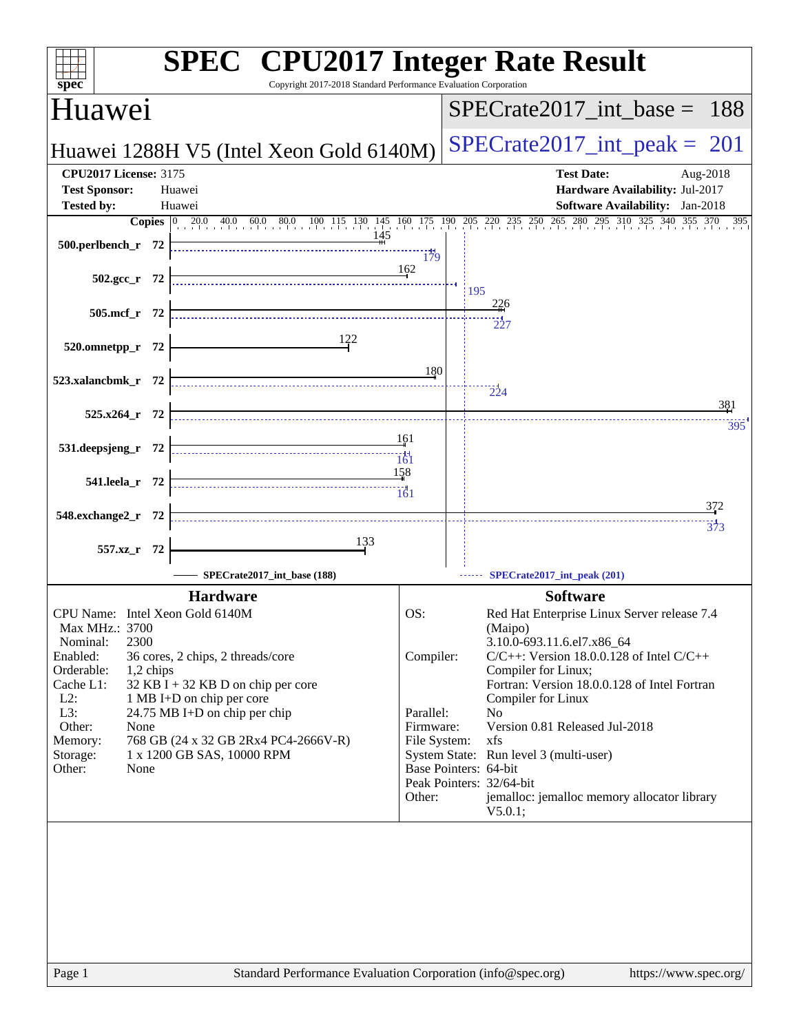|                                                                                                                                                                                                                                                                                                                                                                                                                                           |                                                                      | <b>SPEC<sup>®</sup></b> CPU2017 Integer Rate Result                                                                                                                                                                                                                                                                                                                                                                                                                       |
|-------------------------------------------------------------------------------------------------------------------------------------------------------------------------------------------------------------------------------------------------------------------------------------------------------------------------------------------------------------------------------------------------------------------------------------------|----------------------------------------------------------------------|---------------------------------------------------------------------------------------------------------------------------------------------------------------------------------------------------------------------------------------------------------------------------------------------------------------------------------------------------------------------------------------------------------------------------------------------------------------------------|
| spec <sup>®</sup><br>Huawei                                                                                                                                                                                                                                                                                                                                                                                                               | Copyright 2017-2018 Standard Performance Evaluation Corporation      | $SPECTate2017\_int\_base = 188$                                                                                                                                                                                                                                                                                                                                                                                                                                           |
| Huawei 1288H V5 (Intel Xeon Gold 6140M)                                                                                                                                                                                                                                                                                                                                                                                                   |                                                                      | $SPECTate2017\_int\_peak = 201$                                                                                                                                                                                                                                                                                                                                                                                                                                           |
| <b>CPU2017 License: 3175</b><br><b>Test Sponsor:</b><br>Huawei                                                                                                                                                                                                                                                                                                                                                                            |                                                                      | <b>Test Date:</b><br>Aug-2018<br>Hardware Availability: Jul-2017                                                                                                                                                                                                                                                                                                                                                                                                          |
| <b>Tested by:</b><br>Huawei                                                                                                                                                                                                                                                                                                                                                                                                               |                                                                      | <b>Software Availability:</b> Jan-2018                                                                                                                                                                                                                                                                                                                                                                                                                                    |
| 500.perlbench_r 72                                                                                                                                                                                                                                                                                                                                                                                                                        | <br>179                                                              | <b>Copies</b> $\begin{bmatrix} 0 & 20.0 & 40.0 & 60.0 & 80.0 & 100 & 115 & 130 & 145 & 160 & 175 & 190 & 205 & 220 & 235 & 250 & 265 & 280 & 295 & 310 & 325 & 340 & 355 & 370 \end{bmatrix}$                                                                                                                                                                                                                                                                             |
| $502.\text{gcc r}$ 72                                                                                                                                                                                                                                                                                                                                                                                                                     | 162                                                                  | 195<br>$\frac{226}{1}$                                                                                                                                                                                                                                                                                                                                                                                                                                                    |
| 505.mcf_r 72                                                                                                                                                                                                                                                                                                                                                                                                                              | 122                                                                  | $\frac{1}{227}$                                                                                                                                                                                                                                                                                                                                                                                                                                                           |
| 520.omnetpp_r 72<br>523.xalancbmk_r 72                                                                                                                                                                                                                                                                                                                                                                                                    | 180                                                                  |                                                                                                                                                                                                                                                                                                                                                                                                                                                                           |
| $525.x264$ <sub>r</sub> 72                                                                                                                                                                                                                                                                                                                                                                                                                |                                                                      | 224<br>381                                                                                                                                                                                                                                                                                                                                                                                                                                                                |
| 531.deepsjeng_r 72                                                                                                                                                                                                                                                                                                                                                                                                                        | 161<br>161                                                           | 395                                                                                                                                                                                                                                                                                                                                                                                                                                                                       |
| 541.leela r 72                                                                                                                                                                                                                                                                                                                                                                                                                            | 158<br>161                                                           |                                                                                                                                                                                                                                                                                                                                                                                                                                                                           |
| 548.exchange2_r 72                                                                                                                                                                                                                                                                                                                                                                                                                        |                                                                      | 372<br>$\frac{1}{373}$                                                                                                                                                                                                                                                                                                                                                                                                                                                    |
| 557.xz_r 72<br>SPECrate2017_int_base (188)                                                                                                                                                                                                                                                                                                                                                                                                | 133                                                                  | SPECrate2017_int_peak (201)                                                                                                                                                                                                                                                                                                                                                                                                                                               |
| <b>Hardware</b><br>CPU Name: Intel Xeon Gold 6140M<br>Max MHz.: 3700<br>2300<br>Nominal:<br>Enabled:<br>36 cores, 2 chips, 2 threads/core<br>Orderable:<br>1,2 chips<br>$32$ KB I + 32 KB D on chip per core<br>Cache L1:<br>$L2$ :<br>1 MB I+D on chip per core<br>L3:<br>24.75 MB I+D on chip per chip<br>Other:<br>None<br>768 GB (24 x 32 GB 2Rx4 PC4-2666V-R)<br>Memory:<br>1 x 1200 GB SAS, 10000 RPM<br>Storage:<br>Other:<br>None | OS:<br>Compiler:<br>Parallel:<br>Firmware:<br>File System:<br>Other: | <b>Software</b><br>Red Hat Enterprise Linux Server release 7.4<br>(Maipo)<br>3.10.0-693.11.6.el7.x86_64<br>$C/C++$ : Version 18.0.0.128 of Intel $C/C++$<br>Compiler for Linux;<br>Fortran: Version 18.0.0.128 of Intel Fortran<br>Compiler for Linux<br>N <sub>0</sub><br>Version 0.81 Released Jul-2018<br>xfs<br>System State: Run level 3 (multi-user)<br>Base Pointers: 64-bit<br>Peak Pointers: 32/64-bit<br>jemalloc: jemalloc memory allocator library<br>V5.0.1; |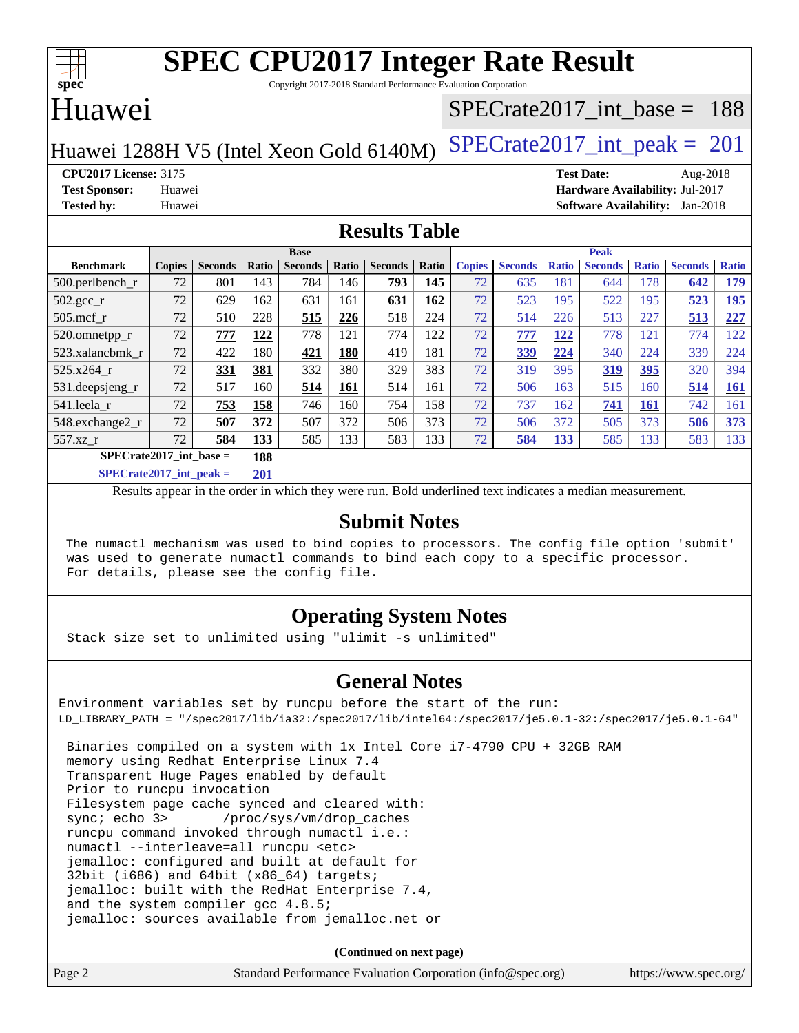

Copyright 2017-2018 Standard Performance Evaluation Corporation

#### Huawei

#### [SPECrate2017\\_int\\_base =](http://www.spec.org/auto/cpu2017/Docs/result-fields.html#SPECrate2017intbase) 188

Huawei 1288H V5 (Intel Xeon Gold  $6140M$ ) [SPECrate2017\\_int\\_peak =](http://www.spec.org/auto/cpu2017/Docs/result-fields.html#SPECrate2017intpeak) 201

**[CPU2017 License:](http://www.spec.org/auto/cpu2017/Docs/result-fields.html#CPU2017License)** 3175 **[Test Date:](http://www.spec.org/auto/cpu2017/Docs/result-fields.html#TestDate)** Aug-2018 **[Test Sponsor:](http://www.spec.org/auto/cpu2017/Docs/result-fields.html#TestSponsor)** Huawei **[Hardware Availability:](http://www.spec.org/auto/cpu2017/Docs/result-fields.html#HardwareAvailability)** Jul-2017 **[Tested by:](http://www.spec.org/auto/cpu2017/Docs/result-fields.html#Testedby)** Huawei **[Software Availability:](http://www.spec.org/auto/cpu2017/Docs/result-fields.html#SoftwareAvailability)** Jan-2018

#### **[Results Table](http://www.spec.org/auto/cpu2017/Docs/result-fields.html#ResultsTable)**

|                           | <b>Base</b>   |                |       |                |       | <b>Peak</b>    |       |               |                |              |                |              |                |              |
|---------------------------|---------------|----------------|-------|----------------|-------|----------------|-------|---------------|----------------|--------------|----------------|--------------|----------------|--------------|
| <b>Benchmark</b>          | <b>Copies</b> | <b>Seconds</b> | Ratio | <b>Seconds</b> | Ratio | <b>Seconds</b> | Ratio | <b>Copies</b> | <b>Seconds</b> | <b>Ratio</b> | <b>Seconds</b> | <b>Ratio</b> | <b>Seconds</b> | <b>Ratio</b> |
| 500.perlbench_r           | 72            | 801            | 143   | 784            | 146   | 793            | 145   | 72            | 635            | 181          | 644            | 178          | 642            | <u>179</u>   |
| $502.\text{gcc}$ _r       | 72            | 629            | 162   | 631            | 161   | 631            | 162   | 72            | 523            | 195          | 522            | 195          | 523            | <u>195</u>   |
| $505$ .mcf r              | 72            | 510            | 228   | 515            | 226   | 518            | 224   | 72            | 514            | 226          | 513            | 227          | 513            | 227          |
| 520.omnetpp_r             | 72            | 777            | 122   | 778            | 121   | 774            | 122   | 72            | 777            | 122          | 778            | 121          | 774            | 122          |
| 523.xalancbmk r           | 72            | 422            | 180   | 421            | 180   | 419            | 181   | 72            | 339            | 224          | 340            | 224          | 339            | 224          |
| 525.x264 r                | 72            | 331            | 381   | 332            | 380   | 329            | 383   | 72            | 319            | 395          | 319            | 395          | 320            | 394          |
| 531.deepsjeng_r           | 72            | 517            | 160   | 514            | 161   | 514            | 161   | 72            | 506            | 163          | 515            | 160          | 514            | <b>161</b>   |
| 541.leela r               | 72            | 753            | 158   | 746            | 160   | 754            | 158   | 72            | 737            | 162          | 741            | <b>161</b>   | 742            | 161          |
| 548.exchange2_r           | 72            | 507            | 372   | 507            | 372   | 506            | 373   | 72            | 506            | 372          | 505            | 373          | 506            | 373          |
| 557.xz                    | 72            | 584            | 133   | 585            | 133   | 583            | 133   | 72            | 584            | 133          | 585            | 133          | 583            | 133          |
| $SPECrate2017$ int base = |               |                | 188   |                |       |                |       |               |                |              |                |              |                |              |
| $SPECrate2017$ int peak = |               |                | 201   |                |       |                |       |               |                |              |                |              |                |              |

Results appear in the [order in which they were run](http://www.spec.org/auto/cpu2017/Docs/result-fields.html#RunOrder). Bold underlined text [indicates a median measurement](http://www.spec.org/auto/cpu2017/Docs/result-fields.html#Median).

#### **[Submit Notes](http://www.spec.org/auto/cpu2017/Docs/result-fields.html#SubmitNotes)**

 The numactl mechanism was used to bind copies to processors. The config file option 'submit' was used to generate numactl commands to bind each copy to a specific processor. For details, please see the config file.

#### **[Operating System Notes](http://www.spec.org/auto/cpu2017/Docs/result-fields.html#OperatingSystemNotes)**

Stack size set to unlimited using "ulimit -s unlimited"

#### **[General Notes](http://www.spec.org/auto/cpu2017/Docs/result-fields.html#GeneralNotes)**

Environment variables set by runcpu before the start of the run: LD\_LIBRARY\_PATH = "/spec2017/lib/ia32:/spec2017/lib/intel64:/spec2017/je5.0.1-32:/spec2017/je5.0.1-64"

 Binaries compiled on a system with 1x Intel Core i7-4790 CPU + 32GB RAM memory using Redhat Enterprise Linux 7.4 Transparent Huge Pages enabled by default Prior to runcpu invocation Filesystem page cache synced and cleared with: sync; echo 3> /proc/sys/vm/drop\_caches runcpu command invoked through numactl i.e.: numactl --interleave=all runcpu <etc> jemalloc: configured and built at default for 32bit (i686) and 64bit (x86\_64) targets; jemalloc: built with the RedHat Enterprise 7.4, and the system compiler gcc 4.8.5; jemalloc: sources available from jemalloc.net or

**(Continued on next page)**

| Page 2 | Standard Performance Evaluation Corporation (info@spec.org) | https://www.spec.org/ |
|--------|-------------------------------------------------------------|-----------------------|
|--------|-------------------------------------------------------------|-----------------------|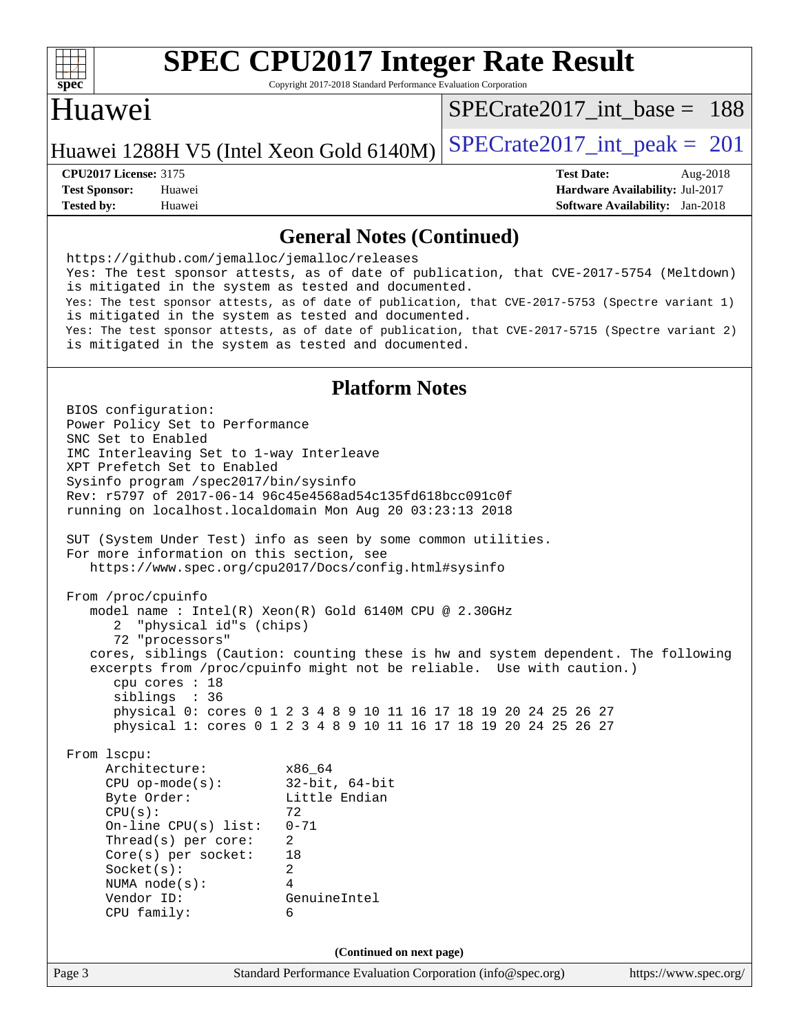

Copyright 2017-2018 Standard Performance Evaluation Corporation

### Huawei

[SPECrate2017\\_int\\_base =](http://www.spec.org/auto/cpu2017/Docs/result-fields.html#SPECrate2017intbase) 188

Huawei 1288H V5 (Intel Xeon Gold  $6140M$ ) [SPECrate2017\\_int\\_peak =](http://www.spec.org/auto/cpu2017/Docs/result-fields.html#SPECrate2017intpeak) 201

**[Tested by:](http://www.spec.org/auto/cpu2017/Docs/result-fields.html#Testedby)** Huawei **[Software Availability:](http://www.spec.org/auto/cpu2017/Docs/result-fields.html#SoftwareAvailability)** Jan-2018

**[CPU2017 License:](http://www.spec.org/auto/cpu2017/Docs/result-fields.html#CPU2017License)** 3175 **[Test Date:](http://www.spec.org/auto/cpu2017/Docs/result-fields.html#TestDate)** Aug-2018 **[Test Sponsor:](http://www.spec.org/auto/cpu2017/Docs/result-fields.html#TestSponsor)** Huawei **[Hardware Availability:](http://www.spec.org/auto/cpu2017/Docs/result-fields.html#HardwareAvailability)** Jul-2017

#### **[General Notes \(Continued\)](http://www.spec.org/auto/cpu2017/Docs/result-fields.html#GeneralNotes)**

Page 3 Standard Performance Evaluation Corporation [\(info@spec.org\)](mailto:info@spec.org) <https://www.spec.org/> <https://github.com/jemalloc/jemalloc/releases> Yes: The test sponsor attests, as of date of publication, that CVE-2017-5754 (Meltdown) is mitigated in the system as tested and documented. Yes: The test sponsor attests, as of date of publication, that CVE-2017-5753 (Spectre variant 1) is mitigated in the system as tested and documented. Yes: The test sponsor attests, as of date of publication, that CVE-2017-5715 (Spectre variant 2) is mitigated in the system as tested and documented. **[Platform Notes](http://www.spec.org/auto/cpu2017/Docs/result-fields.html#PlatformNotes)** BIOS configuration: Power Policy Set to Performance SNC Set to Enabled IMC Interleaving Set to 1-way Interleave XPT Prefetch Set to Enabled Sysinfo program /spec2017/bin/sysinfo Rev: r5797 of 2017-06-14 96c45e4568ad54c135fd618bcc091c0f running on localhost.localdomain Mon Aug 20 03:23:13 2018 SUT (System Under Test) info as seen by some common utilities. For more information on this section, see <https://www.spec.org/cpu2017/Docs/config.html#sysinfo> From /proc/cpuinfo model name : Intel(R) Xeon(R) Gold 6140M CPU @ 2.30GHz 2 "physical id"s (chips) 72 "processors" cores, siblings (Caution: counting these is hw and system dependent. The following excerpts from /proc/cpuinfo might not be reliable. Use with caution.) cpu cores : 18 siblings : 36 physical 0: cores 0 1 2 3 4 8 9 10 11 16 17 18 19 20 24 25 26 27 physical 1: cores 0 1 2 3 4 8 9 10 11 16 17 18 19 20 24 25 26 27 From lscpu: Architecture: x86\_64 CPU op-mode(s): 32-bit, 64-bit Byte Order: Little Endian  $CPU(s):$  72 On-line CPU(s) list: 0-71 Thread(s) per core: 2 Core(s) per socket: 18 Socket(s): 2 NUMA node(s): 4 Vendor ID: GenuineIntel CPU family: 6 **(Continued on next page)**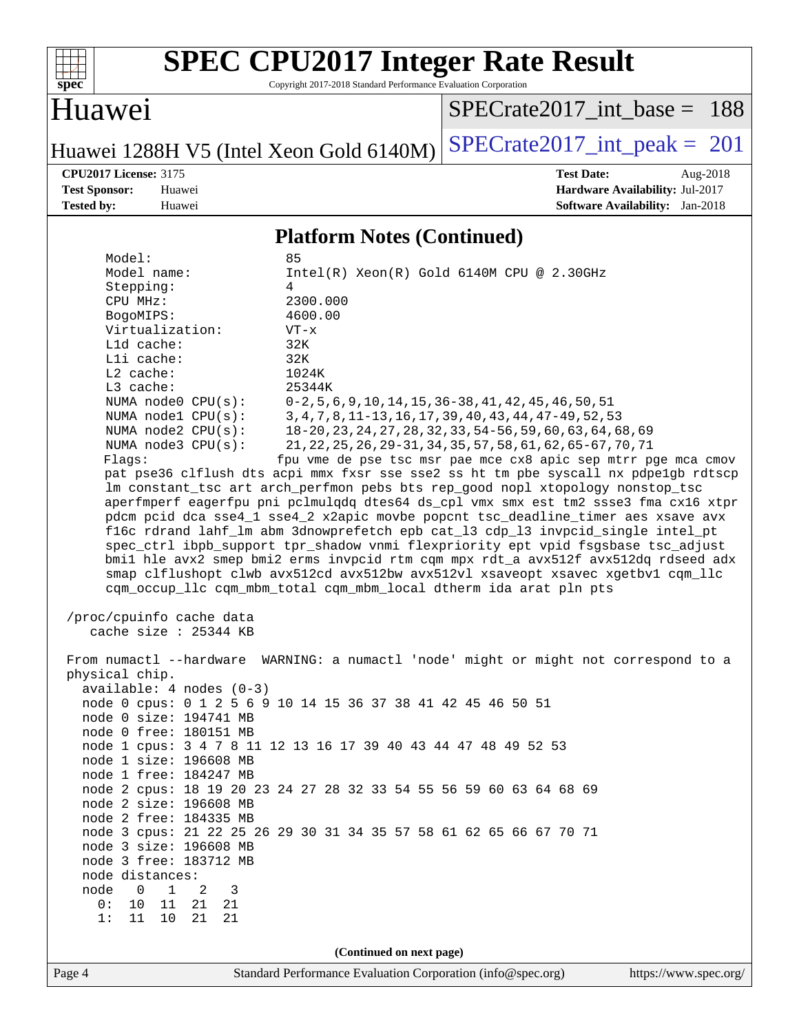

Copyright 2017-2018 Standard Performance Evaluation Corporation

### Huawei

[SPECrate2017\\_int\\_base =](http://www.spec.org/auto/cpu2017/Docs/result-fields.html#SPECrate2017intbase) 188

Huawei 1288H V5 (Intel Xeon Gold  $6140M$ ) [SPECrate2017\\_int\\_peak =](http://www.spec.org/auto/cpu2017/Docs/result-fields.html#SPECrate2017intpeak) 201

**[CPU2017 License:](http://www.spec.org/auto/cpu2017/Docs/result-fields.html#CPU2017License)** 3175 **[Test Date:](http://www.spec.org/auto/cpu2017/Docs/result-fields.html#TestDate)** Aug-2018 **[Test Sponsor:](http://www.spec.org/auto/cpu2017/Docs/result-fields.html#TestSponsor)** Huawei **[Hardware Availability:](http://www.spec.org/auto/cpu2017/Docs/result-fields.html#HardwareAvailability)** Jul-2017 **[Tested by:](http://www.spec.org/auto/cpu2017/Docs/result-fields.html#Testedby)** Huawei **[Software Availability:](http://www.spec.org/auto/cpu2017/Docs/result-fields.html#SoftwareAvailability)** Jan-2018

#### **[Platform Notes \(Continued\)](http://www.spec.org/auto/cpu2017/Docs/result-fields.html#PlatformNotes)**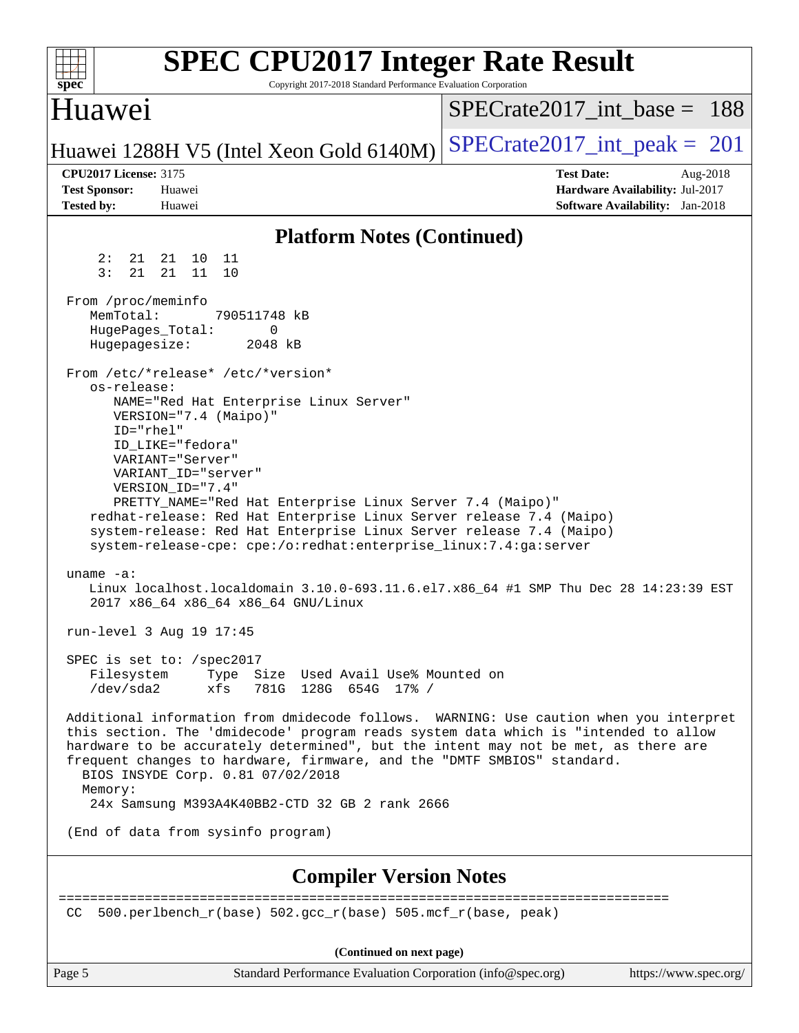| spec <sup>®</sup>                                                         | <b>SPEC CPU2017 Integer Rate Result</b><br>Copyright 2017-2018 Standard Performance Evaluation Corporation                                                                                                                                                                                                                                                                                                                                                              |                                 |                                                                                       |
|---------------------------------------------------------------------------|-------------------------------------------------------------------------------------------------------------------------------------------------------------------------------------------------------------------------------------------------------------------------------------------------------------------------------------------------------------------------------------------------------------------------------------------------------------------------|---------------------------------|---------------------------------------------------------------------------------------|
| Huawei                                                                    |                                                                                                                                                                                                                                                                                                                                                                                                                                                                         | $SPECrate2017$ int base = 188   |                                                                                       |
|                                                                           | Huawei 1288H V5 (Intel Xeon Gold 6140M)                                                                                                                                                                                                                                                                                                                                                                                                                                 | $SPECrate2017\_int\_peak = 201$ |                                                                                       |
| <b>CPU2017 License: 3175</b><br><b>Test Sponsor:</b><br><b>Tested by:</b> | Huawei<br>Huawei                                                                                                                                                                                                                                                                                                                                                                                                                                                        | <b>Test Date:</b>               | Aug-2018<br>Hardware Availability: Jul-2017<br><b>Software Availability:</b> Jan-2018 |
|                                                                           | <b>Platform Notes (Continued)</b>                                                                                                                                                                                                                                                                                                                                                                                                                                       |                                 |                                                                                       |
| 2:<br>21<br>3:<br>21                                                      | 21<br>10<br>11<br>21<br>11<br>10                                                                                                                                                                                                                                                                                                                                                                                                                                        |                                 |                                                                                       |
| From /proc/meminfo<br>MemTotal:<br>HugePages_Total:<br>Hugepagesize:      | 790511748 kB<br>0<br>2048 kB                                                                                                                                                                                                                                                                                                                                                                                                                                            |                                 |                                                                                       |
| os-release:<br>ID="rhel"                                                  | From /etc/*release* /etc/*version*<br>NAME="Red Hat Enterprise Linux Server"<br>VERSION="7.4 (Maipo)"<br>ID LIKE="fedora"<br>VARIANT="Server"<br>VARIANT ID="server"<br>VERSION_ID="7.4"<br>PRETTY_NAME="Red Hat Enterprise Linux Server 7.4 (Maipo)"<br>redhat-release: Red Hat Enterprise Linux Server release 7.4 (Maipo)<br>system-release: Red Hat Enterprise Linux Server release 7.4 (Maipo)<br>system-release-cpe: cpe:/o:redhat:enterprise_linux:7.4:ga:server |                                 |                                                                                       |
| uname $-a$ :                                                              | Linux localhost.localdomain 3.10.0-693.11.6.el7.x86_64 #1 SMP Thu Dec 28 14:23:39 EST<br>2017 x86_64 x86_64 x86_64 GNU/Linux                                                                                                                                                                                                                                                                                                                                            |                                 |                                                                                       |
|                                                                           | run-level 3 Aug 19 17:45                                                                                                                                                                                                                                                                                                                                                                                                                                                |                                 |                                                                                       |
| Filesystem<br>/dev/sda2                                                   | SPEC is set to: /spec2017<br>Type Size Used Avail Use% Mounted on<br>xfs<br>781G 128G 654G 17% /                                                                                                                                                                                                                                                                                                                                                                        |                                 |                                                                                       |
| Memory:                                                                   | Additional information from dmidecode follows. WARNING: Use caution when you interpret<br>this section. The 'dmidecode' program reads system data which is "intended to allow<br>hardware to be accurately determined", but the intent may not be met, as there are<br>frequent changes to hardware, firmware, and the "DMTF SMBIOS" standard.<br>BIOS INSYDE Corp. 0.81 07/02/2018<br>24x Samsung M393A4K40BB2-CTD 32 GB 2 rank 2666                                   |                                 |                                                                                       |
|                                                                           | (End of data from sysinfo program)                                                                                                                                                                                                                                                                                                                                                                                                                                      |                                 |                                                                                       |
|                                                                           | <b>Compiler Version Notes</b>                                                                                                                                                                                                                                                                                                                                                                                                                                           |                                 |                                                                                       |
| CC.                                                                       | 500.perlbench_r(base) 502.gcc_r(base) 505.mcf_r(base, peak)                                                                                                                                                                                                                                                                                                                                                                                                             |                                 |                                                                                       |
|                                                                           | (Continued on next page)                                                                                                                                                                                                                                                                                                                                                                                                                                                |                                 |                                                                                       |
| Page 5                                                                    | Standard Performance Evaluation Corporation (info@spec.org)                                                                                                                                                                                                                                                                                                                                                                                                             |                                 | https://www.spec.org/                                                                 |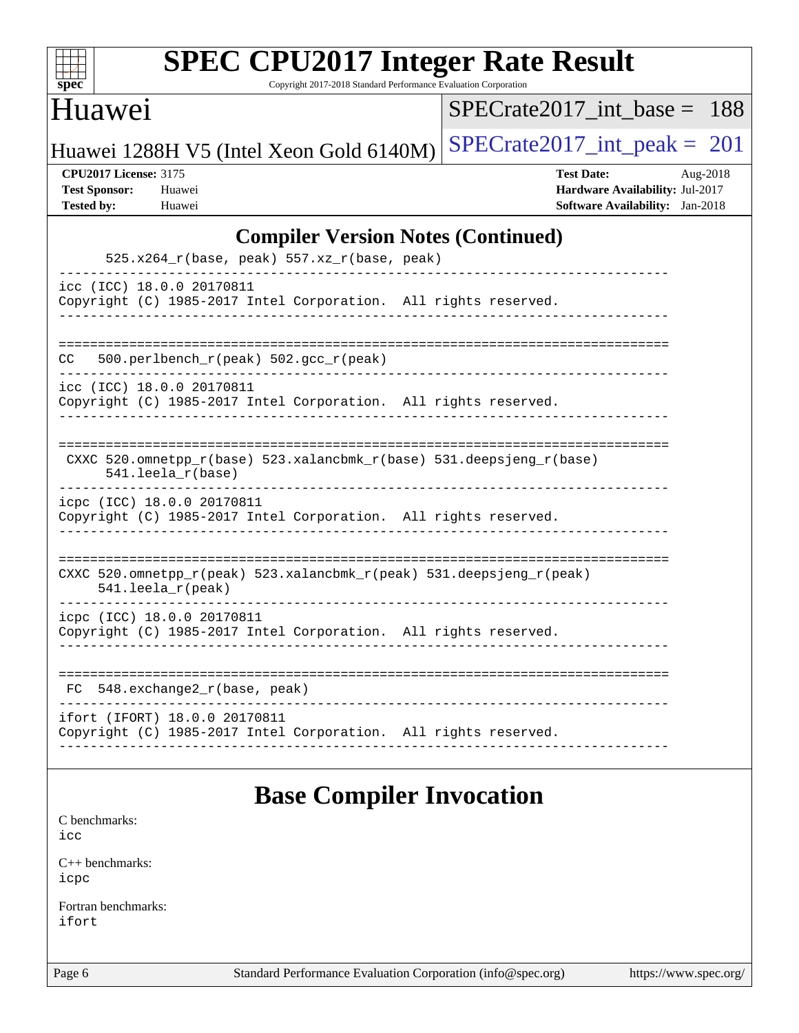

Copyright 2017-2018 Standard Performance Evaluation Corporation

#### Huawei

[SPECrate2017\\_int\\_base =](http://www.spec.org/auto/cpu2017/Docs/result-fields.html#SPECrate2017intbase) 188

Huawei 1288H V5 (Intel Xeon Gold  $6140M$ ) [SPECrate2017\\_int\\_peak =](http://www.spec.org/auto/cpu2017/Docs/result-fields.html#SPECrate2017intpeak) 201

**[CPU2017 License:](http://www.spec.org/auto/cpu2017/Docs/result-fields.html#CPU2017License)** 3175 **[Test Date:](http://www.spec.org/auto/cpu2017/Docs/result-fields.html#TestDate)** Aug-2018 **[Test Sponsor:](http://www.spec.org/auto/cpu2017/Docs/result-fields.html#TestSponsor)** Huawei **[Hardware Availability:](http://www.spec.org/auto/cpu2017/Docs/result-fields.html#HardwareAvailability)** Jul-2017 **[Tested by:](http://www.spec.org/auto/cpu2017/Docs/result-fields.html#Testedby)** Huawei **[Software Availability:](http://www.spec.org/auto/cpu2017/Docs/result-fields.html#SoftwareAvailability)** Jan-2018

#### **[Compiler Version Notes \(Continued\)](http://www.spec.org/auto/cpu2017/Docs/result-fields.html#CompilerVersionNotes)**

| $525.x264_r(base, peak) 557.xz_r(base, peak)$                                                        |
|------------------------------------------------------------------------------------------------------|
| icc (ICC) 18.0.0 20170811<br>Copyright (C) 1985-2017 Intel Corporation. All rights reserved.         |
| 500.perlbench $r(\text{peak})$ 502.gcc $r(\text{peak})$<br>CC.                                       |
| icc (ICC) 18.0.0 20170811<br>Copyright (C) 1985-2017 Intel Corporation. All rights reserved.         |
| CXXC 520.omnetpp $r(base)$ 523.xalancbmk $r(base)$ 531.deepsjeng $r(base)$<br>$541.$ leela $r(base)$ |
| icpc (ICC) 18.0.0 20170811<br>Copyright (C) 1985-2017 Intel Corporation. All rights reserved.        |
| CXXC 520.omnetpp_r(peak) 523.xalancbmk_r(peak) 531.deepsjeng_r(peak)<br>$541.$ leela_r(peak)         |
| icpc (ICC) 18.0.0 20170811<br>Copyright (C) 1985-2017 Intel Corporation. All rights reserved.        |
| 548.exchange2_r(base, peak)<br>FC.                                                                   |
| ifort (IFORT) 18.0.0 20170811<br>Copyright (C) 1985-2017 Intel Corporation. All rights reserved.     |

### **[Base Compiler Invocation](http://www.spec.org/auto/cpu2017/Docs/result-fields.html#BaseCompilerInvocation)**

[C benchmarks](http://www.spec.org/auto/cpu2017/Docs/result-fields.html#Cbenchmarks): [icc](http://www.spec.org/cpu2017/results/res2018q3/cpu2017-20180828-08696.flags.html#user_CCbase_intel_icc_18.0_66fc1ee009f7361af1fbd72ca7dcefbb700085f36577c54f309893dd4ec40d12360134090235512931783d35fd58c0460139e722d5067c5574d8eaf2b3e37e92)

[C++ benchmarks:](http://www.spec.org/auto/cpu2017/Docs/result-fields.html#CXXbenchmarks) [icpc](http://www.spec.org/cpu2017/results/res2018q3/cpu2017-20180828-08696.flags.html#user_CXXbase_intel_icpc_18.0_c510b6838c7f56d33e37e94d029a35b4a7bccf4766a728ee175e80a419847e808290a9b78be685c44ab727ea267ec2f070ec5dc83b407c0218cded6866a35d07)

[Fortran benchmarks](http://www.spec.org/auto/cpu2017/Docs/result-fields.html#Fortranbenchmarks): [ifort](http://www.spec.org/cpu2017/results/res2018q3/cpu2017-20180828-08696.flags.html#user_FCbase_intel_ifort_18.0_8111460550e3ca792625aed983ce982f94888b8b503583aa7ba2b8303487b4d8a21a13e7191a45c5fd58ff318f48f9492884d4413fa793fd88dd292cad7027ca)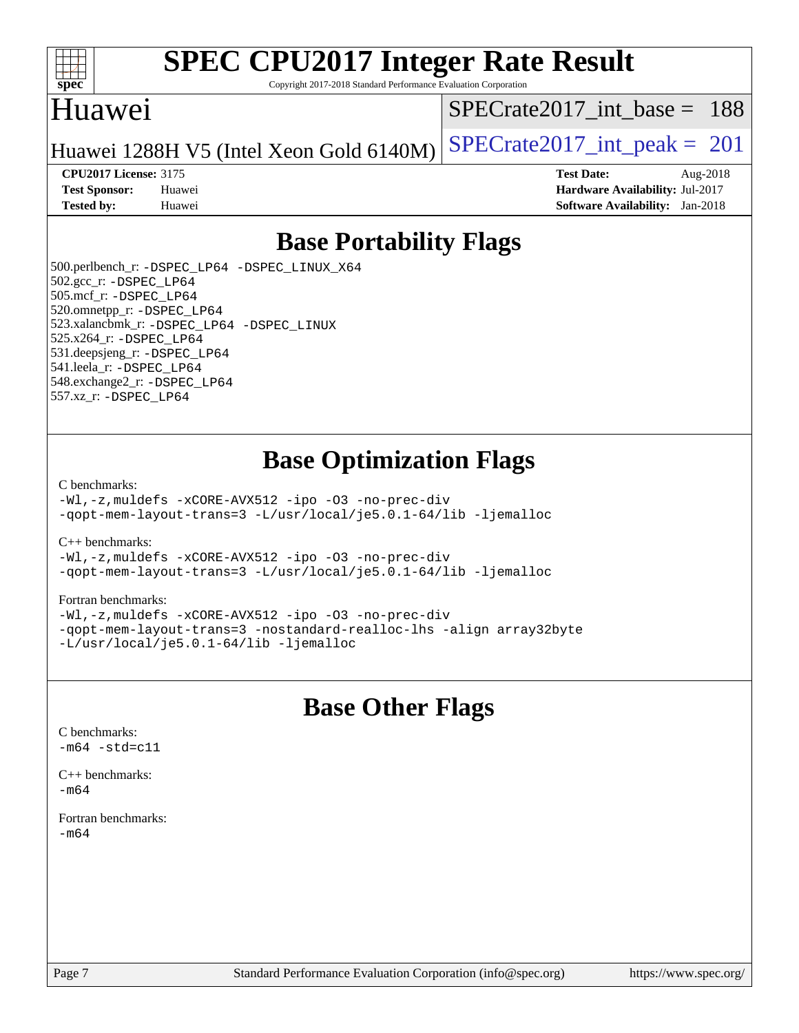

Copyright 2017-2018 Standard Performance Evaluation Corporation

### Huawei

[SPECrate2017\\_int\\_base =](http://www.spec.org/auto/cpu2017/Docs/result-fields.html#SPECrate2017intbase) 188

Huawei 1288H V5 (Intel Xeon Gold  $6140M$ ) [SPECrate2017\\_int\\_peak =](http://www.spec.org/auto/cpu2017/Docs/result-fields.html#SPECrate2017intpeak) 201

#### **[CPU2017 License:](http://www.spec.org/auto/cpu2017/Docs/result-fields.html#CPU2017License)** 3175 **[Test Date:](http://www.spec.org/auto/cpu2017/Docs/result-fields.html#TestDate)** Aug-2018

**[Test Sponsor:](http://www.spec.org/auto/cpu2017/Docs/result-fields.html#TestSponsor)** Huawei **[Hardware Availability:](http://www.spec.org/auto/cpu2017/Docs/result-fields.html#HardwareAvailability)** Jul-2017 **[Tested by:](http://www.spec.org/auto/cpu2017/Docs/result-fields.html#Testedby)** Huawei **[Software Availability:](http://www.spec.org/auto/cpu2017/Docs/result-fields.html#SoftwareAvailability)** Jan-2018

### **[Base Portability Flags](http://www.spec.org/auto/cpu2017/Docs/result-fields.html#BasePortabilityFlags)**

 500.perlbench\_r: [-DSPEC\\_LP64](http://www.spec.org/cpu2017/results/res2018q3/cpu2017-20180828-08696.flags.html#b500.perlbench_r_basePORTABILITY_DSPEC_LP64) [-DSPEC\\_LINUX\\_X64](http://www.spec.org/cpu2017/results/res2018q3/cpu2017-20180828-08696.flags.html#b500.perlbench_r_baseCPORTABILITY_DSPEC_LINUX_X64) 502.gcc\_r: [-DSPEC\\_LP64](http://www.spec.org/cpu2017/results/res2018q3/cpu2017-20180828-08696.flags.html#suite_basePORTABILITY502_gcc_r_DSPEC_LP64) 505.mcf\_r: [-DSPEC\\_LP64](http://www.spec.org/cpu2017/results/res2018q3/cpu2017-20180828-08696.flags.html#suite_basePORTABILITY505_mcf_r_DSPEC_LP64) 520.omnetpp\_r: [-DSPEC\\_LP64](http://www.spec.org/cpu2017/results/res2018q3/cpu2017-20180828-08696.flags.html#suite_basePORTABILITY520_omnetpp_r_DSPEC_LP64) 523.xalancbmk\_r: [-DSPEC\\_LP64](http://www.spec.org/cpu2017/results/res2018q3/cpu2017-20180828-08696.flags.html#suite_basePORTABILITY523_xalancbmk_r_DSPEC_LP64) [-DSPEC\\_LINUX](http://www.spec.org/cpu2017/results/res2018q3/cpu2017-20180828-08696.flags.html#b523.xalancbmk_r_baseCXXPORTABILITY_DSPEC_LINUX) 525.x264\_r: [-DSPEC\\_LP64](http://www.spec.org/cpu2017/results/res2018q3/cpu2017-20180828-08696.flags.html#suite_basePORTABILITY525_x264_r_DSPEC_LP64) 531.deepsjeng\_r: [-DSPEC\\_LP64](http://www.spec.org/cpu2017/results/res2018q3/cpu2017-20180828-08696.flags.html#suite_basePORTABILITY531_deepsjeng_r_DSPEC_LP64) 541.leela\_r: [-DSPEC\\_LP64](http://www.spec.org/cpu2017/results/res2018q3/cpu2017-20180828-08696.flags.html#suite_basePORTABILITY541_leela_r_DSPEC_LP64) 548.exchange2\_r: [-DSPEC\\_LP64](http://www.spec.org/cpu2017/results/res2018q3/cpu2017-20180828-08696.flags.html#suite_basePORTABILITY548_exchange2_r_DSPEC_LP64) 557.xz\_r: [-DSPEC\\_LP64](http://www.spec.org/cpu2017/results/res2018q3/cpu2017-20180828-08696.flags.html#suite_basePORTABILITY557_xz_r_DSPEC_LP64)

### **[Base Optimization Flags](http://www.spec.org/auto/cpu2017/Docs/result-fields.html#BaseOptimizationFlags)**

#### [C benchmarks](http://www.spec.org/auto/cpu2017/Docs/result-fields.html#Cbenchmarks):

[-Wl,-z,muldefs](http://www.spec.org/cpu2017/results/res2018q3/cpu2017-20180828-08696.flags.html#user_CCbase_link_force_multiple1_b4cbdb97b34bdee9ceefcfe54f4c8ea74255f0b02a4b23e853cdb0e18eb4525ac79b5a88067c842dd0ee6996c24547a27a4b99331201badda8798ef8a743f577) [-xCORE-AVX512](http://www.spec.org/cpu2017/results/res2018q3/cpu2017-20180828-08696.flags.html#user_CCbase_f-xCORE-AVX512) [-ipo](http://www.spec.org/cpu2017/results/res2018q3/cpu2017-20180828-08696.flags.html#user_CCbase_f-ipo) [-O3](http://www.spec.org/cpu2017/results/res2018q3/cpu2017-20180828-08696.flags.html#user_CCbase_f-O3) [-no-prec-div](http://www.spec.org/cpu2017/results/res2018q3/cpu2017-20180828-08696.flags.html#user_CCbase_f-no-prec-div) [-qopt-mem-layout-trans=3](http://www.spec.org/cpu2017/results/res2018q3/cpu2017-20180828-08696.flags.html#user_CCbase_f-qopt-mem-layout-trans_de80db37974c74b1f0e20d883f0b675c88c3b01e9d123adea9b28688d64333345fb62bc4a798493513fdb68f60282f9a726aa07f478b2f7113531aecce732043) [-L/usr/local/je5.0.1-64/lib](http://www.spec.org/cpu2017/results/res2018q3/cpu2017-20180828-08696.flags.html#user_CCbase_jemalloc_link_path64_4b10a636b7bce113509b17f3bd0d6226c5fb2346b9178c2d0232c14f04ab830f976640479e5c33dc2bcbbdad86ecfb6634cbbd4418746f06f368b512fced5394) [-ljemalloc](http://www.spec.org/cpu2017/results/res2018q3/cpu2017-20180828-08696.flags.html#user_CCbase_jemalloc_link_lib_d1249b907c500fa1c0672f44f562e3d0f79738ae9e3c4a9c376d49f265a04b9c99b167ecedbf6711b3085be911c67ff61f150a17b3472be731631ba4d0471706)

[C++ benchmarks:](http://www.spec.org/auto/cpu2017/Docs/result-fields.html#CXXbenchmarks)

[-Wl,-z,muldefs](http://www.spec.org/cpu2017/results/res2018q3/cpu2017-20180828-08696.flags.html#user_CXXbase_link_force_multiple1_b4cbdb97b34bdee9ceefcfe54f4c8ea74255f0b02a4b23e853cdb0e18eb4525ac79b5a88067c842dd0ee6996c24547a27a4b99331201badda8798ef8a743f577) [-xCORE-AVX512](http://www.spec.org/cpu2017/results/res2018q3/cpu2017-20180828-08696.flags.html#user_CXXbase_f-xCORE-AVX512) [-ipo](http://www.spec.org/cpu2017/results/res2018q3/cpu2017-20180828-08696.flags.html#user_CXXbase_f-ipo) [-O3](http://www.spec.org/cpu2017/results/res2018q3/cpu2017-20180828-08696.flags.html#user_CXXbase_f-O3) [-no-prec-div](http://www.spec.org/cpu2017/results/res2018q3/cpu2017-20180828-08696.flags.html#user_CXXbase_f-no-prec-div) [-qopt-mem-layout-trans=3](http://www.spec.org/cpu2017/results/res2018q3/cpu2017-20180828-08696.flags.html#user_CXXbase_f-qopt-mem-layout-trans_de80db37974c74b1f0e20d883f0b675c88c3b01e9d123adea9b28688d64333345fb62bc4a798493513fdb68f60282f9a726aa07f478b2f7113531aecce732043) [-L/usr/local/je5.0.1-64/lib](http://www.spec.org/cpu2017/results/res2018q3/cpu2017-20180828-08696.flags.html#user_CXXbase_jemalloc_link_path64_4b10a636b7bce113509b17f3bd0d6226c5fb2346b9178c2d0232c14f04ab830f976640479e5c33dc2bcbbdad86ecfb6634cbbd4418746f06f368b512fced5394) [-ljemalloc](http://www.spec.org/cpu2017/results/res2018q3/cpu2017-20180828-08696.flags.html#user_CXXbase_jemalloc_link_lib_d1249b907c500fa1c0672f44f562e3d0f79738ae9e3c4a9c376d49f265a04b9c99b167ecedbf6711b3085be911c67ff61f150a17b3472be731631ba4d0471706)

#### [Fortran benchmarks](http://www.spec.org/auto/cpu2017/Docs/result-fields.html#Fortranbenchmarks):

[-Wl,-z,muldefs](http://www.spec.org/cpu2017/results/res2018q3/cpu2017-20180828-08696.flags.html#user_FCbase_link_force_multiple1_b4cbdb97b34bdee9ceefcfe54f4c8ea74255f0b02a4b23e853cdb0e18eb4525ac79b5a88067c842dd0ee6996c24547a27a4b99331201badda8798ef8a743f577) [-xCORE-AVX512](http://www.spec.org/cpu2017/results/res2018q3/cpu2017-20180828-08696.flags.html#user_FCbase_f-xCORE-AVX512) [-ipo](http://www.spec.org/cpu2017/results/res2018q3/cpu2017-20180828-08696.flags.html#user_FCbase_f-ipo) [-O3](http://www.spec.org/cpu2017/results/res2018q3/cpu2017-20180828-08696.flags.html#user_FCbase_f-O3) [-no-prec-div](http://www.spec.org/cpu2017/results/res2018q3/cpu2017-20180828-08696.flags.html#user_FCbase_f-no-prec-div) [-qopt-mem-layout-trans=3](http://www.spec.org/cpu2017/results/res2018q3/cpu2017-20180828-08696.flags.html#user_FCbase_f-qopt-mem-layout-trans_de80db37974c74b1f0e20d883f0b675c88c3b01e9d123adea9b28688d64333345fb62bc4a798493513fdb68f60282f9a726aa07f478b2f7113531aecce732043) [-nostandard-realloc-lhs](http://www.spec.org/cpu2017/results/res2018q3/cpu2017-20180828-08696.flags.html#user_FCbase_f_2003_std_realloc_82b4557e90729c0f113870c07e44d33d6f5a304b4f63d4c15d2d0f1fab99f5daaed73bdb9275d9ae411527f28b936061aa8b9c8f2d63842963b95c9dd6426b8a) [-align array32byte](http://www.spec.org/cpu2017/results/res2018q3/cpu2017-20180828-08696.flags.html#user_FCbase_align_array32byte_b982fe038af199962ba9a80c053b8342c548c85b40b8e86eb3cc33dee0d7986a4af373ac2d51c3f7cf710a18d62fdce2948f201cd044323541f22fc0fffc51b6) [-L/usr/local/je5.0.1-64/lib](http://www.spec.org/cpu2017/results/res2018q3/cpu2017-20180828-08696.flags.html#user_FCbase_jemalloc_link_path64_4b10a636b7bce113509b17f3bd0d6226c5fb2346b9178c2d0232c14f04ab830f976640479e5c33dc2bcbbdad86ecfb6634cbbd4418746f06f368b512fced5394) [-ljemalloc](http://www.spec.org/cpu2017/results/res2018q3/cpu2017-20180828-08696.flags.html#user_FCbase_jemalloc_link_lib_d1249b907c500fa1c0672f44f562e3d0f79738ae9e3c4a9c376d49f265a04b9c99b167ecedbf6711b3085be911c67ff61f150a17b3472be731631ba4d0471706)

### **[Base Other Flags](http://www.spec.org/auto/cpu2017/Docs/result-fields.html#BaseOtherFlags)**

[C benchmarks](http://www.spec.org/auto/cpu2017/Docs/result-fields.html#Cbenchmarks):  $-m64 - std= c11$  $-m64 - std= c11$ 

[C++ benchmarks:](http://www.spec.org/auto/cpu2017/Docs/result-fields.html#CXXbenchmarks)  $-m64$ 

[Fortran benchmarks](http://www.spec.org/auto/cpu2017/Docs/result-fields.html#Fortranbenchmarks): [-m64](http://www.spec.org/cpu2017/results/res2018q3/cpu2017-20180828-08696.flags.html#user_FCbase_intel_intel64_18.0_af43caccfc8ded86e7699f2159af6efc7655f51387b94da716254467f3c01020a5059329e2569e4053f409e7c9202a7efc638f7a6d1ffb3f52dea4a3e31d82ab)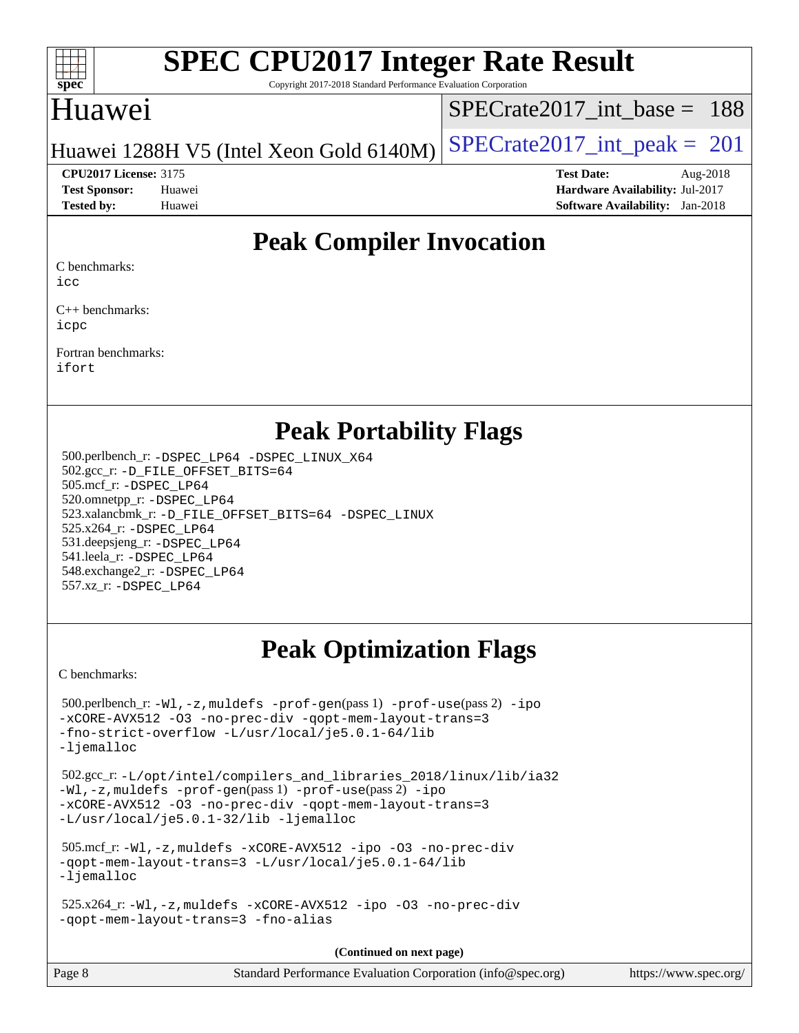

Copyright 2017-2018 Standard Performance Evaluation Corporation

### Huawei

[SPECrate2017\\_int\\_base =](http://www.spec.org/auto/cpu2017/Docs/result-fields.html#SPECrate2017intbase) 188

Huawei 1288H V5 (Intel Xeon Gold  $6140M$ ) [SPECrate2017\\_int\\_peak =](http://www.spec.org/auto/cpu2017/Docs/result-fields.html#SPECrate2017intpeak) 201

**[Tested by:](http://www.spec.org/auto/cpu2017/Docs/result-fields.html#Testedby)** Huawei **[Software Availability:](http://www.spec.org/auto/cpu2017/Docs/result-fields.html#SoftwareAvailability)** Jan-2018

**[CPU2017 License:](http://www.spec.org/auto/cpu2017/Docs/result-fields.html#CPU2017License)** 3175 **[Test Date:](http://www.spec.org/auto/cpu2017/Docs/result-fields.html#TestDate)** Aug-2018 **[Test Sponsor:](http://www.spec.org/auto/cpu2017/Docs/result-fields.html#TestSponsor)** Huawei **[Hardware Availability:](http://www.spec.org/auto/cpu2017/Docs/result-fields.html#HardwareAvailability)** Jul-2017

### **[Peak Compiler Invocation](http://www.spec.org/auto/cpu2017/Docs/result-fields.html#PeakCompilerInvocation)**

[C benchmarks:](http://www.spec.org/auto/cpu2017/Docs/result-fields.html#Cbenchmarks)

[icc](http://www.spec.org/cpu2017/results/res2018q3/cpu2017-20180828-08696.flags.html#user_CCpeak_intel_icc_18.0_66fc1ee009f7361af1fbd72ca7dcefbb700085f36577c54f309893dd4ec40d12360134090235512931783d35fd58c0460139e722d5067c5574d8eaf2b3e37e92)

[C++ benchmarks:](http://www.spec.org/auto/cpu2017/Docs/result-fields.html#CXXbenchmarks) [icpc](http://www.spec.org/cpu2017/results/res2018q3/cpu2017-20180828-08696.flags.html#user_CXXpeak_intel_icpc_18.0_c510b6838c7f56d33e37e94d029a35b4a7bccf4766a728ee175e80a419847e808290a9b78be685c44ab727ea267ec2f070ec5dc83b407c0218cded6866a35d07)

[Fortran benchmarks](http://www.spec.org/auto/cpu2017/Docs/result-fields.html#Fortranbenchmarks): [ifort](http://www.spec.org/cpu2017/results/res2018q3/cpu2017-20180828-08696.flags.html#user_FCpeak_intel_ifort_18.0_8111460550e3ca792625aed983ce982f94888b8b503583aa7ba2b8303487b4d8a21a13e7191a45c5fd58ff318f48f9492884d4413fa793fd88dd292cad7027ca)

#### **[Peak Portability Flags](http://www.spec.org/auto/cpu2017/Docs/result-fields.html#PeakPortabilityFlags)**

 500.perlbench\_r: [-DSPEC\\_LP64](http://www.spec.org/cpu2017/results/res2018q3/cpu2017-20180828-08696.flags.html#b500.perlbench_r_peakPORTABILITY_DSPEC_LP64) [-DSPEC\\_LINUX\\_X64](http://www.spec.org/cpu2017/results/res2018q3/cpu2017-20180828-08696.flags.html#b500.perlbench_r_peakCPORTABILITY_DSPEC_LINUX_X64) 502.gcc\_r: [-D\\_FILE\\_OFFSET\\_BITS=64](http://www.spec.org/cpu2017/results/res2018q3/cpu2017-20180828-08696.flags.html#user_peakPORTABILITY502_gcc_r_file_offset_bits_64_5ae949a99b284ddf4e95728d47cb0843d81b2eb0e18bdfe74bbf0f61d0b064f4bda2f10ea5eb90e1dcab0e84dbc592acfc5018bc955c18609f94ddb8d550002c) 505.mcf\_r: [-DSPEC\\_LP64](http://www.spec.org/cpu2017/results/res2018q3/cpu2017-20180828-08696.flags.html#suite_peakPORTABILITY505_mcf_r_DSPEC_LP64) 520.omnetpp\_r: [-DSPEC\\_LP64](http://www.spec.org/cpu2017/results/res2018q3/cpu2017-20180828-08696.flags.html#suite_peakPORTABILITY520_omnetpp_r_DSPEC_LP64) 523.xalancbmk\_r: [-D\\_FILE\\_OFFSET\\_BITS=64](http://www.spec.org/cpu2017/results/res2018q3/cpu2017-20180828-08696.flags.html#user_peakPORTABILITY523_xalancbmk_r_file_offset_bits_64_5ae949a99b284ddf4e95728d47cb0843d81b2eb0e18bdfe74bbf0f61d0b064f4bda2f10ea5eb90e1dcab0e84dbc592acfc5018bc955c18609f94ddb8d550002c) [-DSPEC\\_LINUX](http://www.spec.org/cpu2017/results/res2018q3/cpu2017-20180828-08696.flags.html#b523.xalancbmk_r_peakCXXPORTABILITY_DSPEC_LINUX) 525.x264\_r: [-DSPEC\\_LP64](http://www.spec.org/cpu2017/results/res2018q3/cpu2017-20180828-08696.flags.html#suite_peakPORTABILITY525_x264_r_DSPEC_LP64) 531.deepsjeng\_r: [-DSPEC\\_LP64](http://www.spec.org/cpu2017/results/res2018q3/cpu2017-20180828-08696.flags.html#suite_peakPORTABILITY531_deepsjeng_r_DSPEC_LP64) 541.leela\_r: [-DSPEC\\_LP64](http://www.spec.org/cpu2017/results/res2018q3/cpu2017-20180828-08696.flags.html#suite_peakPORTABILITY541_leela_r_DSPEC_LP64) 548.exchange2\_r: [-DSPEC\\_LP64](http://www.spec.org/cpu2017/results/res2018q3/cpu2017-20180828-08696.flags.html#suite_peakPORTABILITY548_exchange2_r_DSPEC_LP64) 557.xz\_r: [-DSPEC\\_LP64](http://www.spec.org/cpu2017/results/res2018q3/cpu2017-20180828-08696.flags.html#suite_peakPORTABILITY557_xz_r_DSPEC_LP64)

## **[Peak Optimization Flags](http://www.spec.org/auto/cpu2017/Docs/result-fields.html#PeakOptimizationFlags)**

[C benchmarks](http://www.spec.org/auto/cpu2017/Docs/result-fields.html#Cbenchmarks):

 500.perlbench\_r: [-Wl,-z,muldefs](http://www.spec.org/cpu2017/results/res2018q3/cpu2017-20180828-08696.flags.html#user_peakEXTRA_LDFLAGS500_perlbench_r_link_force_multiple1_b4cbdb97b34bdee9ceefcfe54f4c8ea74255f0b02a4b23e853cdb0e18eb4525ac79b5a88067c842dd0ee6996c24547a27a4b99331201badda8798ef8a743f577) [-prof-gen](http://www.spec.org/cpu2017/results/res2018q3/cpu2017-20180828-08696.flags.html#user_peakPASS1_CFLAGSPASS1_LDFLAGS500_perlbench_r_prof_gen_5aa4926d6013ddb2a31985c654b3eb18169fc0c6952a63635c234f711e6e63dd76e94ad52365559451ec499a2cdb89e4dc58ba4c67ef54ca681ffbe1461d6b36)(pass 1) [-prof-use](http://www.spec.org/cpu2017/results/res2018q3/cpu2017-20180828-08696.flags.html#user_peakPASS2_CFLAGSPASS2_LDFLAGS500_perlbench_r_prof_use_1a21ceae95f36a2b53c25747139a6c16ca95bd9def2a207b4f0849963b97e94f5260e30a0c64f4bb623698870e679ca08317ef8150905d41bd88c6f78df73f19)(pass 2) [-ipo](http://www.spec.org/cpu2017/results/res2018q3/cpu2017-20180828-08696.flags.html#user_peakPASS1_COPTIMIZEPASS2_COPTIMIZE500_perlbench_r_f-ipo) [-xCORE-AVX512](http://www.spec.org/cpu2017/results/res2018q3/cpu2017-20180828-08696.flags.html#user_peakPASS2_COPTIMIZE500_perlbench_r_f-xCORE-AVX512) [-O3](http://www.spec.org/cpu2017/results/res2018q3/cpu2017-20180828-08696.flags.html#user_peakPASS1_COPTIMIZEPASS2_COPTIMIZE500_perlbench_r_f-O3) [-no-prec-div](http://www.spec.org/cpu2017/results/res2018q3/cpu2017-20180828-08696.flags.html#user_peakPASS1_COPTIMIZEPASS2_COPTIMIZE500_perlbench_r_f-no-prec-div) [-qopt-mem-layout-trans=3](http://www.spec.org/cpu2017/results/res2018q3/cpu2017-20180828-08696.flags.html#user_peakPASS1_COPTIMIZEPASS2_COPTIMIZE500_perlbench_r_f-qopt-mem-layout-trans_de80db37974c74b1f0e20d883f0b675c88c3b01e9d123adea9b28688d64333345fb62bc4a798493513fdb68f60282f9a726aa07f478b2f7113531aecce732043) [-fno-strict-overflow](http://www.spec.org/cpu2017/results/res2018q3/cpu2017-20180828-08696.flags.html#user_peakEXTRA_OPTIMIZE500_perlbench_r_f-fno-strict-overflow) [-L/usr/local/je5.0.1-64/lib](http://www.spec.org/cpu2017/results/res2018q3/cpu2017-20180828-08696.flags.html#user_peakEXTRA_LIBS500_perlbench_r_jemalloc_link_path64_4b10a636b7bce113509b17f3bd0d6226c5fb2346b9178c2d0232c14f04ab830f976640479e5c33dc2bcbbdad86ecfb6634cbbd4418746f06f368b512fced5394) [-ljemalloc](http://www.spec.org/cpu2017/results/res2018q3/cpu2017-20180828-08696.flags.html#user_peakEXTRA_LIBS500_perlbench_r_jemalloc_link_lib_d1249b907c500fa1c0672f44f562e3d0f79738ae9e3c4a9c376d49f265a04b9c99b167ecedbf6711b3085be911c67ff61f150a17b3472be731631ba4d0471706) 502.gcc\_r: [-L/opt/intel/compilers\\_and\\_libraries\\_2018/linux/lib/ia32](http://www.spec.org/cpu2017/results/res2018q3/cpu2017-20180828-08696.flags.html#user_peakCCLD502_gcc_r_Enable-32bit-runtime_af243bdb1d79e4c7a4f720bf8275e627de2ecd461de63307bc14cef0633fde3cd7bb2facb32dcc8be9566045fb55d40ce2b72b725f73827aa7833441b71b9343) [-Wl,-z,muldefs](http://www.spec.org/cpu2017/results/res2018q3/cpu2017-20180828-08696.flags.html#user_peakEXTRA_LDFLAGS502_gcc_r_link_force_multiple1_b4cbdb97b34bdee9ceefcfe54f4c8ea74255f0b02a4b23e853cdb0e18eb4525ac79b5a88067c842dd0ee6996c24547a27a4b99331201badda8798ef8a743f577) [-prof-gen](http://www.spec.org/cpu2017/results/res2018q3/cpu2017-20180828-08696.flags.html#user_peakPASS1_CFLAGSPASS1_LDFLAGS502_gcc_r_prof_gen_5aa4926d6013ddb2a31985c654b3eb18169fc0c6952a63635c234f711e6e63dd76e94ad52365559451ec499a2cdb89e4dc58ba4c67ef54ca681ffbe1461d6b36)(pass 1) [-prof-use](http://www.spec.org/cpu2017/results/res2018q3/cpu2017-20180828-08696.flags.html#user_peakPASS2_CFLAGSPASS2_LDFLAGS502_gcc_r_prof_use_1a21ceae95f36a2b53c25747139a6c16ca95bd9def2a207b4f0849963b97e94f5260e30a0c64f4bb623698870e679ca08317ef8150905d41bd88c6f78df73f19)(pass 2) [-ipo](http://www.spec.org/cpu2017/results/res2018q3/cpu2017-20180828-08696.flags.html#user_peakPASS1_COPTIMIZEPASS2_COPTIMIZE502_gcc_r_f-ipo) [-xCORE-AVX512](http://www.spec.org/cpu2017/results/res2018q3/cpu2017-20180828-08696.flags.html#user_peakPASS2_COPTIMIZE502_gcc_r_f-xCORE-AVX512) [-O3](http://www.spec.org/cpu2017/results/res2018q3/cpu2017-20180828-08696.flags.html#user_peakPASS1_COPTIMIZEPASS2_COPTIMIZE502_gcc_r_f-O3) [-no-prec-div](http://www.spec.org/cpu2017/results/res2018q3/cpu2017-20180828-08696.flags.html#user_peakPASS1_COPTIMIZEPASS2_COPTIMIZE502_gcc_r_f-no-prec-div) [-qopt-mem-layout-trans=3](http://www.spec.org/cpu2017/results/res2018q3/cpu2017-20180828-08696.flags.html#user_peakPASS1_COPTIMIZEPASS2_COPTIMIZE502_gcc_r_f-qopt-mem-layout-trans_de80db37974c74b1f0e20d883f0b675c88c3b01e9d123adea9b28688d64333345fb62bc4a798493513fdb68f60282f9a726aa07f478b2f7113531aecce732043) [-L/usr/local/je5.0.1-32/lib](http://www.spec.org/cpu2017/results/res2018q3/cpu2017-20180828-08696.flags.html#user_peakEXTRA_LIBS502_gcc_r_jemalloc_link_path32_e29f22e8e6c17053bbc6a0971f5a9c01a601a06bb1a59df2084b77a2fe0a2995b64fd4256feaeea39eeba3aae142e96e2b2b0a28974019c0c0c88139a84f900a) [-ljemalloc](http://www.spec.org/cpu2017/results/res2018q3/cpu2017-20180828-08696.flags.html#user_peakEXTRA_LIBS502_gcc_r_jemalloc_link_lib_d1249b907c500fa1c0672f44f562e3d0f79738ae9e3c4a9c376d49f265a04b9c99b167ecedbf6711b3085be911c67ff61f150a17b3472be731631ba4d0471706) 505.mcf\_r: [-Wl,-z,muldefs](http://www.spec.org/cpu2017/results/res2018q3/cpu2017-20180828-08696.flags.html#user_peakEXTRA_LDFLAGS505_mcf_r_link_force_multiple1_b4cbdb97b34bdee9ceefcfe54f4c8ea74255f0b02a4b23e853cdb0e18eb4525ac79b5a88067c842dd0ee6996c24547a27a4b99331201badda8798ef8a743f577) [-xCORE-AVX512](http://www.spec.org/cpu2017/results/res2018q3/cpu2017-20180828-08696.flags.html#user_peakCOPTIMIZE505_mcf_r_f-xCORE-AVX512) [-ipo](http://www.spec.org/cpu2017/results/res2018q3/cpu2017-20180828-08696.flags.html#user_peakCOPTIMIZE505_mcf_r_f-ipo) [-O3](http://www.spec.org/cpu2017/results/res2018q3/cpu2017-20180828-08696.flags.html#user_peakCOPTIMIZE505_mcf_r_f-O3) [-no-prec-div](http://www.spec.org/cpu2017/results/res2018q3/cpu2017-20180828-08696.flags.html#user_peakCOPTIMIZE505_mcf_r_f-no-prec-div) [-qopt-mem-layout-trans=3](http://www.spec.org/cpu2017/results/res2018q3/cpu2017-20180828-08696.flags.html#user_peakCOPTIMIZE505_mcf_r_f-qopt-mem-layout-trans_de80db37974c74b1f0e20d883f0b675c88c3b01e9d123adea9b28688d64333345fb62bc4a798493513fdb68f60282f9a726aa07f478b2f7113531aecce732043) [-L/usr/local/je5.0.1-64/lib](http://www.spec.org/cpu2017/results/res2018q3/cpu2017-20180828-08696.flags.html#user_peakEXTRA_LIBS505_mcf_r_jemalloc_link_path64_4b10a636b7bce113509b17f3bd0d6226c5fb2346b9178c2d0232c14f04ab830f976640479e5c33dc2bcbbdad86ecfb6634cbbd4418746f06f368b512fced5394) [-ljemalloc](http://www.spec.org/cpu2017/results/res2018q3/cpu2017-20180828-08696.flags.html#user_peakEXTRA_LIBS505_mcf_r_jemalloc_link_lib_d1249b907c500fa1c0672f44f562e3d0f79738ae9e3c4a9c376d49f265a04b9c99b167ecedbf6711b3085be911c67ff61f150a17b3472be731631ba4d0471706) 525.x264\_r: [-Wl,-z,muldefs](http://www.spec.org/cpu2017/results/res2018q3/cpu2017-20180828-08696.flags.html#user_peakEXTRA_LDFLAGS525_x264_r_link_force_multiple1_b4cbdb97b34bdee9ceefcfe54f4c8ea74255f0b02a4b23e853cdb0e18eb4525ac79b5a88067c842dd0ee6996c24547a27a4b99331201badda8798ef8a743f577) [-xCORE-AVX512](http://www.spec.org/cpu2017/results/res2018q3/cpu2017-20180828-08696.flags.html#user_peakCOPTIMIZE525_x264_r_f-xCORE-AVX512) [-ipo](http://www.spec.org/cpu2017/results/res2018q3/cpu2017-20180828-08696.flags.html#user_peakCOPTIMIZE525_x264_r_f-ipo) [-O3](http://www.spec.org/cpu2017/results/res2018q3/cpu2017-20180828-08696.flags.html#user_peakCOPTIMIZE525_x264_r_f-O3) [-no-prec-div](http://www.spec.org/cpu2017/results/res2018q3/cpu2017-20180828-08696.flags.html#user_peakCOPTIMIZE525_x264_r_f-no-prec-div) [-qopt-mem-layout-trans=3](http://www.spec.org/cpu2017/results/res2018q3/cpu2017-20180828-08696.flags.html#user_peakCOPTIMIZE525_x264_r_f-qopt-mem-layout-trans_de80db37974c74b1f0e20d883f0b675c88c3b01e9d123adea9b28688d64333345fb62bc4a798493513fdb68f60282f9a726aa07f478b2f7113531aecce732043) [-fno-alias](http://www.spec.org/cpu2017/results/res2018q3/cpu2017-20180828-08696.flags.html#user_peakEXTRA_OPTIMIZE525_x264_r_f-no-alias_77dbac10d91cbfe898fbf4a29d1b29b694089caa623bdd1baccc9957d4edbe8d106c0b357e2748a65b44fc9e83d78098bb898077f3fe92f9faf24f7bd4a07ed7) **(Continued on next page)**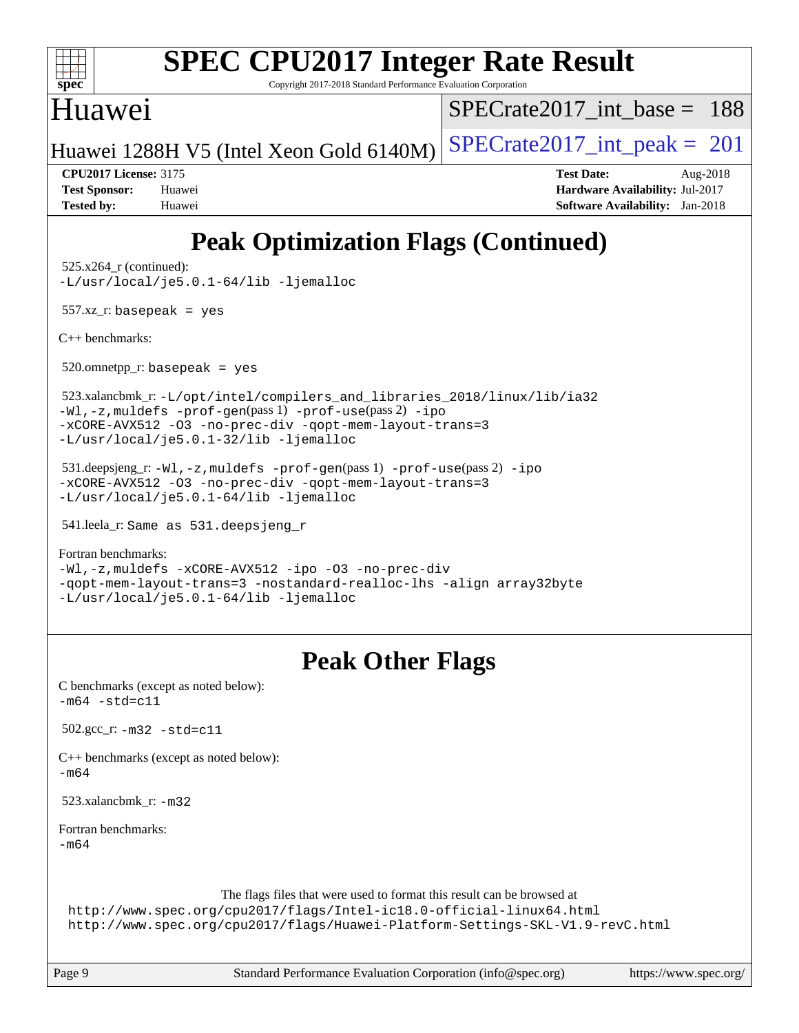

Copyright 2017-2018 Standard Performance Evaluation Corporation

#### Huawei

[SPECrate2017\\_int\\_base =](http://www.spec.org/auto/cpu2017/Docs/result-fields.html#SPECrate2017intbase) 188

Huawei 1288H V5 (Intel Xeon Gold  $6140M$ ) [SPECrate2017\\_int\\_peak =](http://www.spec.org/auto/cpu2017/Docs/result-fields.html#SPECrate2017intpeak) 201

**[CPU2017 License:](http://www.spec.org/auto/cpu2017/Docs/result-fields.html#CPU2017License)** 3175 **[Test Date:](http://www.spec.org/auto/cpu2017/Docs/result-fields.html#TestDate)** Aug-2018 **[Test Sponsor:](http://www.spec.org/auto/cpu2017/Docs/result-fields.html#TestSponsor)** Huawei **[Hardware Availability:](http://www.spec.org/auto/cpu2017/Docs/result-fields.html#HardwareAvailability)** Jul-2017 **[Tested by:](http://www.spec.org/auto/cpu2017/Docs/result-fields.html#Testedby)** Huawei **[Software Availability:](http://www.spec.org/auto/cpu2017/Docs/result-fields.html#SoftwareAvailability)** Jan-2018

## **[Peak Optimization Flags \(Continued\)](http://www.spec.org/auto/cpu2017/Docs/result-fields.html#PeakOptimizationFlags)**

525.x264\_r (continued):

[-L/usr/local/je5.0.1-64/lib](http://www.spec.org/cpu2017/results/res2018q3/cpu2017-20180828-08696.flags.html#user_peakEXTRA_LIBS525_x264_r_jemalloc_link_path64_4b10a636b7bce113509b17f3bd0d6226c5fb2346b9178c2d0232c14f04ab830f976640479e5c33dc2bcbbdad86ecfb6634cbbd4418746f06f368b512fced5394) [-ljemalloc](http://www.spec.org/cpu2017/results/res2018q3/cpu2017-20180828-08696.flags.html#user_peakEXTRA_LIBS525_x264_r_jemalloc_link_lib_d1249b907c500fa1c0672f44f562e3d0f79738ae9e3c4a9c376d49f265a04b9c99b167ecedbf6711b3085be911c67ff61f150a17b3472be731631ba4d0471706)

557.xz\_r: basepeak = yes

[C++ benchmarks:](http://www.spec.org/auto/cpu2017/Docs/result-fields.html#CXXbenchmarks)

 $520.$ omnetpp\_r: basepeak = yes

 523.xalancbmk\_r: [-L/opt/intel/compilers\\_and\\_libraries\\_2018/linux/lib/ia32](http://www.spec.org/cpu2017/results/res2018q3/cpu2017-20180828-08696.flags.html#user_peakCXXLD523_xalancbmk_r_Enable-32bit-runtime_af243bdb1d79e4c7a4f720bf8275e627de2ecd461de63307bc14cef0633fde3cd7bb2facb32dcc8be9566045fb55d40ce2b72b725f73827aa7833441b71b9343) [-Wl,-z,muldefs](http://www.spec.org/cpu2017/results/res2018q3/cpu2017-20180828-08696.flags.html#user_peakEXTRA_LDFLAGS523_xalancbmk_r_link_force_multiple1_b4cbdb97b34bdee9ceefcfe54f4c8ea74255f0b02a4b23e853cdb0e18eb4525ac79b5a88067c842dd0ee6996c24547a27a4b99331201badda8798ef8a743f577) [-prof-gen](http://www.spec.org/cpu2017/results/res2018q3/cpu2017-20180828-08696.flags.html#user_peakPASS1_CXXFLAGSPASS1_LDFLAGS523_xalancbmk_r_prof_gen_5aa4926d6013ddb2a31985c654b3eb18169fc0c6952a63635c234f711e6e63dd76e94ad52365559451ec499a2cdb89e4dc58ba4c67ef54ca681ffbe1461d6b36)(pass 1) [-prof-use](http://www.spec.org/cpu2017/results/res2018q3/cpu2017-20180828-08696.flags.html#user_peakPASS2_CXXFLAGSPASS2_LDFLAGS523_xalancbmk_r_prof_use_1a21ceae95f36a2b53c25747139a6c16ca95bd9def2a207b4f0849963b97e94f5260e30a0c64f4bb623698870e679ca08317ef8150905d41bd88c6f78df73f19)(pass 2) [-ipo](http://www.spec.org/cpu2017/results/res2018q3/cpu2017-20180828-08696.flags.html#user_peakPASS1_CXXOPTIMIZEPASS2_CXXOPTIMIZE523_xalancbmk_r_f-ipo) [-xCORE-AVX512](http://www.spec.org/cpu2017/results/res2018q3/cpu2017-20180828-08696.flags.html#user_peakPASS2_CXXOPTIMIZE523_xalancbmk_r_f-xCORE-AVX512) [-O3](http://www.spec.org/cpu2017/results/res2018q3/cpu2017-20180828-08696.flags.html#user_peakPASS1_CXXOPTIMIZEPASS2_CXXOPTIMIZE523_xalancbmk_r_f-O3) [-no-prec-div](http://www.spec.org/cpu2017/results/res2018q3/cpu2017-20180828-08696.flags.html#user_peakPASS1_CXXOPTIMIZEPASS2_CXXOPTIMIZE523_xalancbmk_r_f-no-prec-div) [-qopt-mem-layout-trans=3](http://www.spec.org/cpu2017/results/res2018q3/cpu2017-20180828-08696.flags.html#user_peakPASS1_CXXOPTIMIZEPASS2_CXXOPTIMIZE523_xalancbmk_r_f-qopt-mem-layout-trans_de80db37974c74b1f0e20d883f0b675c88c3b01e9d123adea9b28688d64333345fb62bc4a798493513fdb68f60282f9a726aa07f478b2f7113531aecce732043) [-L/usr/local/je5.0.1-32/lib](http://www.spec.org/cpu2017/results/res2018q3/cpu2017-20180828-08696.flags.html#user_peakEXTRA_LIBS523_xalancbmk_r_jemalloc_link_path32_e29f22e8e6c17053bbc6a0971f5a9c01a601a06bb1a59df2084b77a2fe0a2995b64fd4256feaeea39eeba3aae142e96e2b2b0a28974019c0c0c88139a84f900a) [-ljemalloc](http://www.spec.org/cpu2017/results/res2018q3/cpu2017-20180828-08696.flags.html#user_peakEXTRA_LIBS523_xalancbmk_r_jemalloc_link_lib_d1249b907c500fa1c0672f44f562e3d0f79738ae9e3c4a9c376d49f265a04b9c99b167ecedbf6711b3085be911c67ff61f150a17b3472be731631ba4d0471706)

 531.deepsjeng\_r: [-Wl,-z,muldefs](http://www.spec.org/cpu2017/results/res2018q3/cpu2017-20180828-08696.flags.html#user_peakEXTRA_LDFLAGS531_deepsjeng_r_link_force_multiple1_b4cbdb97b34bdee9ceefcfe54f4c8ea74255f0b02a4b23e853cdb0e18eb4525ac79b5a88067c842dd0ee6996c24547a27a4b99331201badda8798ef8a743f577) [-prof-gen](http://www.spec.org/cpu2017/results/res2018q3/cpu2017-20180828-08696.flags.html#user_peakPASS1_CXXFLAGSPASS1_LDFLAGS531_deepsjeng_r_prof_gen_5aa4926d6013ddb2a31985c654b3eb18169fc0c6952a63635c234f711e6e63dd76e94ad52365559451ec499a2cdb89e4dc58ba4c67ef54ca681ffbe1461d6b36)(pass 1) [-prof-use](http://www.spec.org/cpu2017/results/res2018q3/cpu2017-20180828-08696.flags.html#user_peakPASS2_CXXFLAGSPASS2_LDFLAGS531_deepsjeng_r_prof_use_1a21ceae95f36a2b53c25747139a6c16ca95bd9def2a207b4f0849963b97e94f5260e30a0c64f4bb623698870e679ca08317ef8150905d41bd88c6f78df73f19)(pass 2) [-ipo](http://www.spec.org/cpu2017/results/res2018q3/cpu2017-20180828-08696.flags.html#user_peakPASS1_CXXOPTIMIZEPASS2_CXXOPTIMIZE531_deepsjeng_r_f-ipo) [-xCORE-AVX512](http://www.spec.org/cpu2017/results/res2018q3/cpu2017-20180828-08696.flags.html#user_peakPASS2_CXXOPTIMIZE531_deepsjeng_r_f-xCORE-AVX512) [-O3](http://www.spec.org/cpu2017/results/res2018q3/cpu2017-20180828-08696.flags.html#user_peakPASS1_CXXOPTIMIZEPASS2_CXXOPTIMIZE531_deepsjeng_r_f-O3) [-no-prec-div](http://www.spec.org/cpu2017/results/res2018q3/cpu2017-20180828-08696.flags.html#user_peakPASS1_CXXOPTIMIZEPASS2_CXXOPTIMIZE531_deepsjeng_r_f-no-prec-div) [-qopt-mem-layout-trans=3](http://www.spec.org/cpu2017/results/res2018q3/cpu2017-20180828-08696.flags.html#user_peakPASS1_CXXOPTIMIZEPASS2_CXXOPTIMIZE531_deepsjeng_r_f-qopt-mem-layout-trans_de80db37974c74b1f0e20d883f0b675c88c3b01e9d123adea9b28688d64333345fb62bc4a798493513fdb68f60282f9a726aa07f478b2f7113531aecce732043) [-L/usr/local/je5.0.1-64/lib](http://www.spec.org/cpu2017/results/res2018q3/cpu2017-20180828-08696.flags.html#user_peakEXTRA_LIBS531_deepsjeng_r_jemalloc_link_path64_4b10a636b7bce113509b17f3bd0d6226c5fb2346b9178c2d0232c14f04ab830f976640479e5c33dc2bcbbdad86ecfb6634cbbd4418746f06f368b512fced5394) [-ljemalloc](http://www.spec.org/cpu2017/results/res2018q3/cpu2017-20180828-08696.flags.html#user_peakEXTRA_LIBS531_deepsjeng_r_jemalloc_link_lib_d1249b907c500fa1c0672f44f562e3d0f79738ae9e3c4a9c376d49f265a04b9c99b167ecedbf6711b3085be911c67ff61f150a17b3472be731631ba4d0471706)

541.leela\_r: Same as 531.deepsjeng\_r

[Fortran benchmarks](http://www.spec.org/auto/cpu2017/Docs/result-fields.html#Fortranbenchmarks):

[-Wl,-z,muldefs](http://www.spec.org/cpu2017/results/res2018q3/cpu2017-20180828-08696.flags.html#user_FCpeak_link_force_multiple1_b4cbdb97b34bdee9ceefcfe54f4c8ea74255f0b02a4b23e853cdb0e18eb4525ac79b5a88067c842dd0ee6996c24547a27a4b99331201badda8798ef8a743f577) [-xCORE-AVX512](http://www.spec.org/cpu2017/results/res2018q3/cpu2017-20180828-08696.flags.html#user_FCpeak_f-xCORE-AVX512) [-ipo](http://www.spec.org/cpu2017/results/res2018q3/cpu2017-20180828-08696.flags.html#user_FCpeak_f-ipo) [-O3](http://www.spec.org/cpu2017/results/res2018q3/cpu2017-20180828-08696.flags.html#user_FCpeak_f-O3) [-no-prec-div](http://www.spec.org/cpu2017/results/res2018q3/cpu2017-20180828-08696.flags.html#user_FCpeak_f-no-prec-div) [-qopt-mem-layout-trans=3](http://www.spec.org/cpu2017/results/res2018q3/cpu2017-20180828-08696.flags.html#user_FCpeak_f-qopt-mem-layout-trans_de80db37974c74b1f0e20d883f0b675c88c3b01e9d123adea9b28688d64333345fb62bc4a798493513fdb68f60282f9a726aa07f478b2f7113531aecce732043) [-nostandard-realloc-lhs](http://www.spec.org/cpu2017/results/res2018q3/cpu2017-20180828-08696.flags.html#user_FCpeak_f_2003_std_realloc_82b4557e90729c0f113870c07e44d33d6f5a304b4f63d4c15d2d0f1fab99f5daaed73bdb9275d9ae411527f28b936061aa8b9c8f2d63842963b95c9dd6426b8a) [-align array32byte](http://www.spec.org/cpu2017/results/res2018q3/cpu2017-20180828-08696.flags.html#user_FCpeak_align_array32byte_b982fe038af199962ba9a80c053b8342c548c85b40b8e86eb3cc33dee0d7986a4af373ac2d51c3f7cf710a18d62fdce2948f201cd044323541f22fc0fffc51b6) [-L/usr/local/je5.0.1-64/lib](http://www.spec.org/cpu2017/results/res2018q3/cpu2017-20180828-08696.flags.html#user_FCpeak_jemalloc_link_path64_4b10a636b7bce113509b17f3bd0d6226c5fb2346b9178c2d0232c14f04ab830f976640479e5c33dc2bcbbdad86ecfb6634cbbd4418746f06f368b512fced5394) [-ljemalloc](http://www.spec.org/cpu2017/results/res2018q3/cpu2017-20180828-08696.flags.html#user_FCpeak_jemalloc_link_lib_d1249b907c500fa1c0672f44f562e3d0f79738ae9e3c4a9c376d49f265a04b9c99b167ecedbf6711b3085be911c67ff61f150a17b3472be731631ba4d0471706)

### **[Peak Other Flags](http://www.spec.org/auto/cpu2017/Docs/result-fields.html#PeakOtherFlags)**

| C benchmarks (except as noted below):<br>$-m64 - std = c11$                                                                                                                                                                     |
|---------------------------------------------------------------------------------------------------------------------------------------------------------------------------------------------------------------------------------|
| 502.gcc $r: -m32 - std = c11$                                                                                                                                                                                                   |
| $C++$ benchmarks (except as noted below):<br>$-m64$                                                                                                                                                                             |
| 523.xalancbmk $r: -m32$                                                                                                                                                                                                         |
| Fortran benchmarks:<br>$-m64$                                                                                                                                                                                                   |
| The flags files that were used to format this result can be browsed at<br>http://www.spec.org/cpu2017/flags/Intel-ic18.0-official-linux64.html<br>http://www.spec.org/cpu2017/flags/Huawei-Platform-Settings-SKL-V1.9-revC.html |